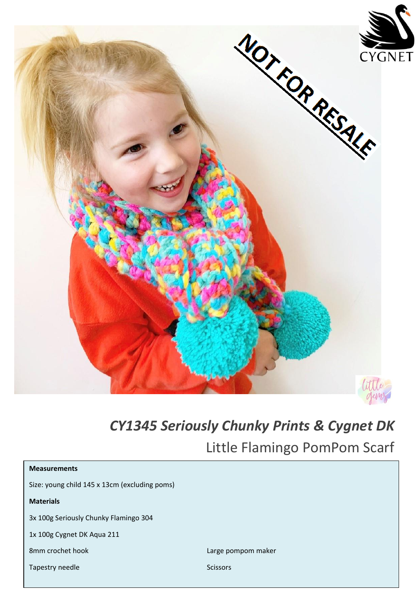

## *CY1345 Seriously Chunky Prints & Cygnet DK*

Little Flamingo PomPom Scarf

| <b>Measurements</b>                           |                    |
|-----------------------------------------------|--------------------|
| Size: young child 145 x 13cm (excluding poms) |                    |
| <b>Materials</b>                              |                    |
| 3x 100g Seriously Chunky Flamingo 304         |                    |
| 1x 100g Cygnet DK Aqua 211                    |                    |
| 8mm crochet hook                              | Large pompom maker |
| Tapestry needle                               | <b>Scissors</b>    |
|                                               |                    |